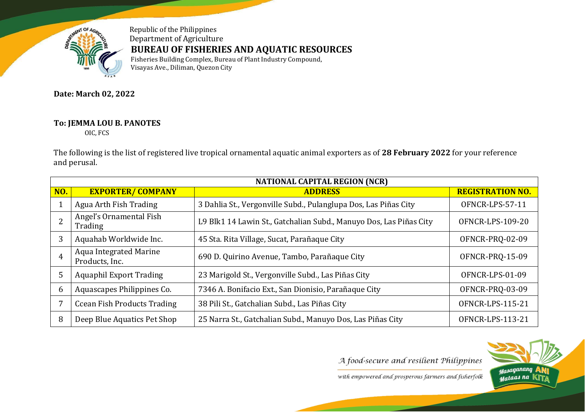

Republic of the Philippines Department of Agriculture **BUREAU OF FISHERIES AND AQUATIC RESOURCES** Fisheries Building Complex, Bureau of Plant Industry Compound,

Visayas Ave., Diliman, Quezon City

**Date: March 02, 2022**

## **To: JEMMA LOU B. PANOTES**

OIC, FCS

The following is the list of registered live tropical ornamental aquatic animal exporters as of **28 February 2022** for your reference and perusal.

|            | <b>NATIONAL CAPITAL REGION (NCR)</b>            |                                                                    |                         |  |  |  |
|------------|-------------------------------------------------|--------------------------------------------------------------------|-------------------------|--|--|--|
| <b>NO.</b> | <b>EXPORTER/ COMPANY</b>                        | <b>ADDRESS</b>                                                     | <b>REGISTRATION NO.</b> |  |  |  |
|            | Agua Arth Fish Trading                          | 3 Dahlia St., Vergonville Subd., Pulanglupa Dos, Las Piñas City    | OFNCR-LPS-57-11         |  |  |  |
|            | Angel's Ornamental Fish<br>Trading              | L9 Blk1 14 Lawin St., Gatchalian Subd., Manuyo Dos, Las Piñas City | OFNCR-LPS-109-20        |  |  |  |
| 3          | Aquahab Worldwide Inc.                          | 45 Sta. Rita Village, Sucat, Parañaque City                        | OFNCR-PRQ-02-09         |  |  |  |
| 4          | <b>Aqua Integrated Marine</b><br>Products, Inc. | 690 D. Quirino Avenue, Tambo, Parañaque City                       | OFNCR-PRQ-15-09         |  |  |  |
| 5          | <b>Aquaphil Export Trading</b>                  | 23 Marigold St., Vergonville Subd., Las Piñas City                 | OFNCR-LPS-01-09         |  |  |  |
| 6          | Aquascapes Philippines Co.                      | 7346 A. Bonifacio Ext., San Dionisio, Parañaque City               | OFNCR-PRQ-03-09         |  |  |  |
|            | <b>Ccean Fish Products Trading</b>              | 38 Pili St., Gatchalian Subd., Las Piñas City                      | OFNCR-LPS-115-21        |  |  |  |
| 8          | Deep Blue Aquatics Pet Shop                     | 25 Narra St., Gatchalian Subd., Manuyo Dos, Las Piñas City         | OFNCR-LPS-113-21        |  |  |  |

A food-secure and resilient Philippines

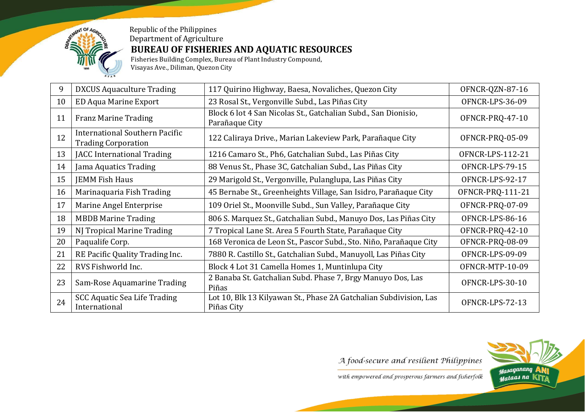

## Republic of the Philippines Department of Agriculture **BUREAU OF FISHERIES AND AQUATIC RESOURCES**

Fisheries Building Complex, Bureau of Plant Industry Compound, Visayas Ave., Diliman, Quezon City

| 9  | <b>DXCUS Aquaculture Trading</b>                             | 117 Quirino Highway, Baesa, Novaliches, Quezon City                              | OFNCR-QZN-87-16  |
|----|--------------------------------------------------------------|----------------------------------------------------------------------------------|------------------|
| 10 | <b>ED Aqua Marine Export</b>                                 | 23 Rosal St., Vergonville Subd., Las Piñas City                                  | OFNCR-LPS-36-09  |
| 11 | <b>Franz Marine Trading</b>                                  | Block 6 lot 4 San Nicolas St., Gatchalian Subd., San Dionisio,<br>Parañaque City | OFNCR-PRQ-47-10  |
| 12 | International Southern Pacific<br><b>Trading Corporation</b> | 122 Caliraya Drive., Marian Lakeview Park, Parañaque City                        | OFNCR-PRQ-05-09  |
| 13 | JACC International Trading                                   | 1216 Camaro St., Ph6, Gatchalian Subd., Las Piñas City                           | OFNCR-LPS-112-21 |
| 14 | Jama Aquatics Trading                                        | 88 Venus St., Phase 3C, Gatchalian Subd., Las Piñas City                         | OFNCR-LPS-79-15  |
| 15 | <b>JEMM Fish Haus</b>                                        | 29 Marigold St., Vergonville, Pulanglupa, Las Piñas City                         | OFNCR-LPS-92-17  |
| 16 | Marinaquaria Fish Trading                                    | 45 Bernabe St., Greenheights Village, San Isidro, Parañaque City                 | OFNCR-PRQ-111-21 |
| 17 | Marine Angel Enterprise                                      | 109 Oriel St., Moonville Subd., Sun Valley, Parañaque City                       | OFNCR-PRQ-07-09  |
| 18 | <b>MBDB Marine Trading</b>                                   | 806 S. Marquez St., Gatchalian Subd., Manuyo Dos, Las Piñas City                 | OFNCR-LPS-86-16  |
| 19 | NJ Tropical Marine Trading                                   | 7 Tropical Lane St. Area 5 Fourth State, Parañaque City                          | OFNCR-PRQ-42-10  |
| 20 | Paqualife Corp.                                              | 168 Veronica de Leon St., Pascor Subd., Sto. Niño, Parañaque City                | OFNCR-PRQ-08-09  |
| 21 | RE Pacific Quality Trading Inc.                              | 7880 R. Castillo St., Gatchalian Subd., Manuyoll, Las Piñas City                 | OFNCR-LPS-09-09  |
| 22 | RVS Fishworld Inc.                                           | Block 4 Lot 31 Camella Homes 1, Muntinlupa City                                  | OFNCR-MTP-10-09  |
| 23 | Sam-Rose Aquamarine Trading                                  | 2 Banaba St. Gatchalian Subd. Phase 7, Brgy Manuyo Dos, Las<br>Piñas             | OFNCR-LPS-30-10  |
| 24 | <b>SCC Aquatic Sea Life Trading</b><br>International         | Lot 10, Blk 13 Kilyawan St., Phase 2A Gatchalian Subdivision, Las<br>Piñas City  | OFNCR-LPS-72-13  |

A food-secure and resilient Philippines

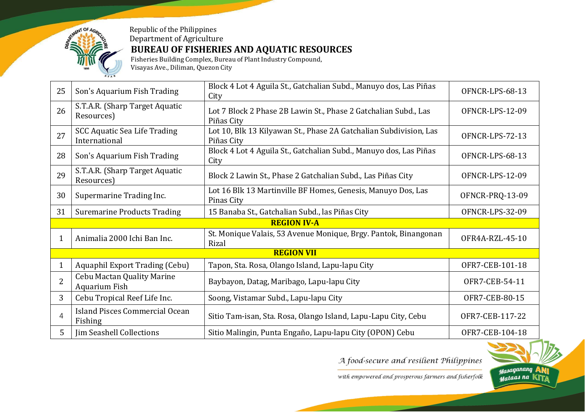

## Republic of the Philippines Department of Agriculture **BUREAU OF FISHERIES AND AQUATIC RESOURCES**

Fisheries Building Complex, Bureau of Plant Industry Compound, Visayas Ave., Diliman, Quezon City

| 25                | Son's Aquarium Fish Trading                               | Block 4 Lot 4 Aguila St., Gatchalian Subd., Manuyo dos, Las Piñas<br>City       | OFNCR-LPS-68-13 |  |
|-------------------|-----------------------------------------------------------|---------------------------------------------------------------------------------|-----------------|--|
| 26                | S.T.A.R. (Sharp Target Aquatic<br>Resources)              | Lot 7 Block 2 Phase 2B Lawin St., Phase 2 Gatchalian Subd., Las<br>Piñas City   | OFNCR-LPS-12-09 |  |
| 27                | <b>SCC Aquatic Sea Life Trading</b><br>International      | Lot 10, Blk 13 Kilyawan St., Phase 2A Gatchalian Subdivision, Las<br>Piñas City | OFNCR-LPS-72-13 |  |
| 28                | Son's Aquarium Fish Trading                               | Block 4 Lot 4 Aguila St., Gatchalian Subd., Manuyo dos, Las Piñas<br>City       | OFNCR-LPS-68-13 |  |
| 29                | S.T.A.R. (Sharp Target Aquatic<br>Resources)              | Block 2 Lawin St., Phase 2 Gatchalian Subd., Las Piñas City                     | OFNCR-LPS-12-09 |  |
| 30                | Supermarine Trading Inc.                                  | Lot 16 Blk 13 Martinville BF Homes, Genesis, Manuyo Dos, Las<br>Pinas City      | OFNCR-PRQ-13-09 |  |
| 31                | <b>Suremarine Products Trading</b>                        | 15 Banaba St., Gatchalian Subd., las Piñas City                                 | OFNCR-LPS-32-09 |  |
|                   |                                                           | <b>REGION IV-A</b>                                                              |                 |  |
| 1                 | Animalia 2000 Ichi Ban Inc.                               | St. Monique Valais, 53 Avenue Monique, Brgy. Pantok, Binangonan<br>Rizal        | OFR4A-RZL-45-10 |  |
| <b>REGION VII</b> |                                                           |                                                                                 |                 |  |
|                   | Aquaphil Export Trading (Cebu)                            | Tapon, Sta. Rosa, Olango Island, Lapu-lapu City                                 | OFR7-CEB-101-18 |  |
| $\overline{2}$    | <b>Cebu Mactan Quality Marine</b><br><b>Aquarium Fish</b> | Baybayon, Datag, Maribago, Lapu-lapu City                                       | OFR7-CEB-54-11  |  |
| 3                 | Cebu Tropical Reef Life Inc.                              | Soong, Vistamar Subd., Lapu-lapu City                                           | OFR7-CEB-80-15  |  |
| 4                 | Island Pisces Commercial Ocean<br>Fishing                 | Sitio Tam-isan, Sta. Rosa, Olango Island, Lapu-Lapu City, Cebu                  | OFR7-CEB-117-22 |  |
| 5                 | Jim Seashell Collections                                  | Sitio Malingin, Punta Engaño, Lapu-lapu City (OPON) Cebu                        | OFR7-CEB-104-18 |  |

A food-secure and resilient Philippines

Masaganang *Mataas na* KIT